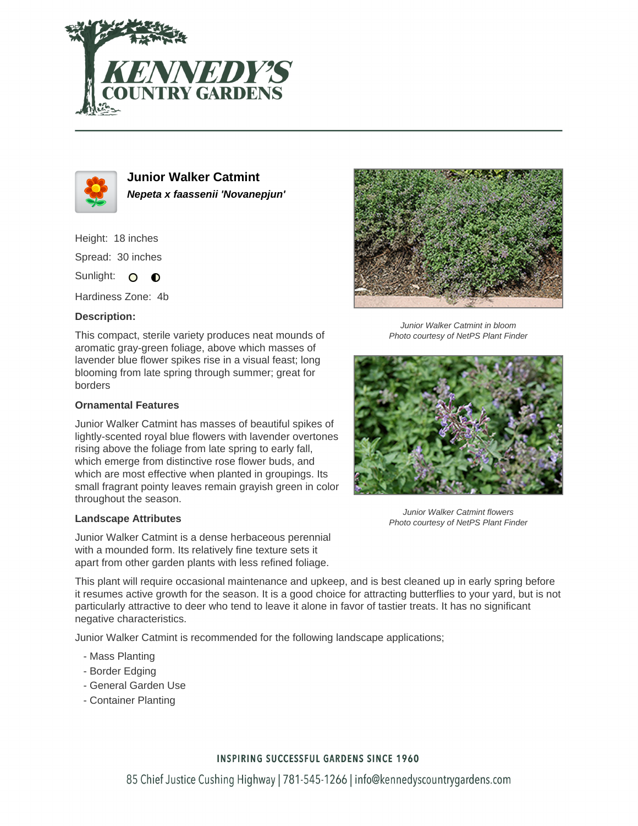



**Junior Walker Catmint Nepeta x faassenii 'Novanepjun'**

Height: 18 inches Spread: 30 inches

Sunlight: O **O** 

Hardiness Zone: 4b

## **Description:**

This compact, sterile variety produces neat mounds of aromatic gray-green foliage, above which masses of lavender blue flower spikes rise in a visual feast; long blooming from late spring through summer; great for borders

## **Ornamental Features**

Junior Walker Catmint has masses of beautiful spikes of lightly-scented royal blue flowers with lavender overtones rising above the foliage from late spring to early fall, which emerge from distinctive rose flower buds, and which are most effective when planted in groupings. Its small fragrant pointy leaves remain grayish green in color throughout the season.

#### **Landscape Attributes**

Junior Walker Catmint is a dense herbaceous perennial with a mounded form. Its relatively fine texture sets it apart from other garden plants with less refined foliage.



Junior Walker Catmint in bloom Photo courtesy of NetPS Plant Finder



Junior Walker Catmint flowers Photo courtesy of NetPS Plant Finder

This plant will require occasional maintenance and upkeep, and is best cleaned up in early spring before it resumes active growth for the season. It is a good choice for attracting butterflies to your yard, but is not particularly attractive to deer who tend to leave it alone in favor of tastier treats. It has no significant negative characteristics.

Junior Walker Catmint is recommended for the following landscape applications;

- Mass Planting
- Border Edging
- General Garden Use
- Container Planting

## **INSPIRING SUCCESSFUL GARDENS SINCE 1960**

85 Chief Justice Cushing Highway | 781-545-1266 | info@kennedyscountrygardens.com